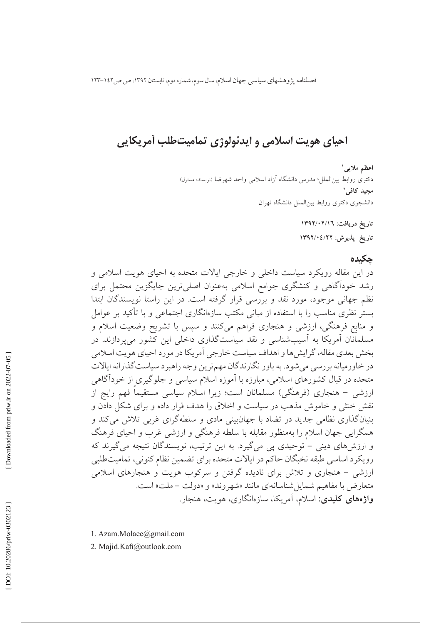فصلنامه يژوهشهاي سياسي جهان اسلام، سال سوم، شماره دوم، تابستان ١٣٩٢، ص ص١٤٢-١٢٣

## احیای هویت اسلامی و ایدئولوژی تمامیتطلب آمریکایی

اعظم ملايي ا دکتری روابط بین|لملل؛ مدرس دانشگاه آزاد اسلامی واحد شهرضا (نویسنده مسئول) مجيد كافي<sup>٢</sup> دانشجوى دكترى روابط بين الملل دانشگاه تهران

> تاریخ دریافت: ۱۳۹۲/۰۲/۱۲ تاريخ پذيرش: ١٣٩٢/٠٤/٢٢

> > حكىدە

در این مقاله رویکرد سیاست داخلی و خارجی ایالات متحده به احیای هویت اسلامی و رشد خوداًگاهی و کنشگری جوامع اسلامی بهعنوان اصلیترین جایگزین محتمل برای نظم جهانی موجود، مورد نقد و بررسی قرار گرفته است. در این راستا نویسندگان ابتدا یستر نظری مناسب را با استفاده از میانی مکتب سازهانگاری اجتماعی و با تأکید بر عوامل و منابع فرهنگی، ارزشی و هنجاری فراهم میکنند و سپس با تشریح وضعیت اسلام و مسلمانان آمریکا به آسیبشناسی و نقد سیاستگذاری داخلی این کشور می پردازند. در بخش بعدي مقاله، گرايش ها و اهداف سياست خارجي آمريكا در مورد احياي هويت اسلامي در خاورمیانه بررسی می شود. به باور نگارندگان مهمترین وجه راهبرد سیاست گذارانه ایالات متحده در قبال کشورهای اسلامی، مبارزه با آموزه اسلام سیاسی و جلوگیری از خودآگاهی ارزشی – هنجاری (فرهنگی) مسلمانان است؛ زیرا اسلام سیاسی مستقیماً فهم رایج از نقش خنثی و خاموش مذهب در سیاست و اخلاق را هدف قرار داده و برای شکل دادن و بنیانگذاری نظامی جدید در تضاد با جهانبینی مادی و سلطهگرای غربی تلاش میکند و همگرایی جهان اسلام را بهمنظور مقابله با سلطه فرهنگی و ارزشی غرب و احیای فرهنگ و ارزشهای دینی – توحیدی پی میگیرد. به این ترتیب، نویسندگان نتیجه می گیرند که رويكرد اساسي طبقه نخبگان حاكم در ايالات متحده براي تضمين نظام كنوني، تماميتطلبي ارزشی – هنجاری و تلاش برای نادیده گرفتن و سرکوب هویت و هنجارهای اسلامی متعارض با مفاهيم شمايل شناسانهاي مانند «شهروند» و «دولت – ملت» است. **واژههای کلیدی**: اسلام، آمریکا، سازهانگاری، هویت، هنجار.

- 1. Azam.Molaee@gmail.com
- 2. Majid.Kafi@outlook.com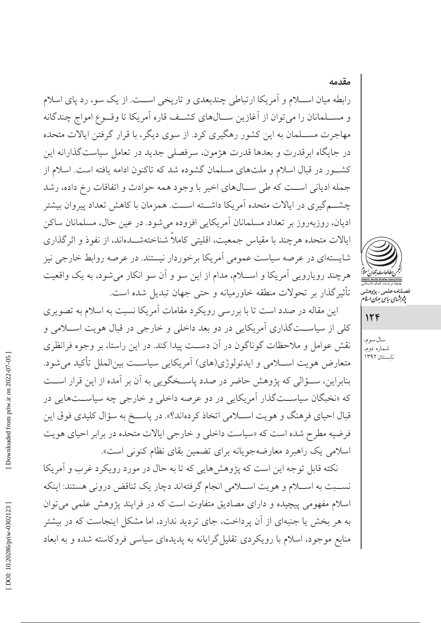رابطه میان اســـلام و آمریکا ارتباطی چندبعدی و تاریخی اســت. از یک سو، رد یای اسلام و مســلمانان را مي توان از آغازين ســالهاي كشــف قاره آمريكا تا وقــوع امواج چندگانه مهاجرت مســـلمان به این کشور رهگیری کرد. از سوی دیگر، با قرار گرفتن ایالات متحده در جایگاه ابرقدرت و بعدها قدرت هژمون، سرفصلی جدید در تعامل سیاستگذارانه این کشـور در قبال اسلام و ملتهای مسلمان گشوده شد که تاکنون ادامه یافته است. اسلام از جمله ادياني است كه طي سـالهاي اخير با وجود همه حوادث و اتفاقات رخ داده، رشد چشــم گیری در ایالات متحده آمریکا داشــته اســت. همزمان با کاهش تعداد پیروان بیشتر اديان، روزبهروز بر تعداد مسلمانان آمريكايي افزوده مي شود. در عين حال، مسلمانان ساكن ایالات متحده هرچند با مقیاس جمعیت، اقلیتی کاملاً شناختهشـــدهاند، از نفوذ و اثرگذاری شایستهای در عرصه سیاست عمومی آمریکا برخوردار نیستند. در عرصه روابط خارجی نیز هرچند رویارویی آمریکا و اســلام، مدام از این سو و آن سو انکار میشود، به یک واقعیت تأثیرگذار بر تحولات منطقه خاورمیانه و حتی جهان تبدیل شده است.

این مقاله در صدد است تا با بررسی رویکرد مقامات آمریکا نسبت به اسلام به تصویری کلي از سياســتگذاري آمريکايي در دو بعد داخلي و خارجي در قبال هويت اســـلامي و نقش عوامل و ملاحظات گوناگون در آن دست پیدا کند. در این راستا، بر وجوه فرانظری متعارض هويت اســلامي و ايدئولوژي(هاي) آمريكايي سياســت بينالملل تأكيد مي شود. بنابراین، سـؤالی که پژوهش حاضر در صدد پاسـخگویی به آن بر آمده از این قرار اســت که «نخبگان سیاسـتگذار آمریکایی در دو عرصه داخلی و خارجی چه سیاسـتهایی در قبال احیای فرهنگ و هویت اســـلامی اتخاذ کردهاند؟». در پاســـخ به سؤال کلیدی فوق این فرضيه مطرح شده است كه «سياست داخلي و خارجي ايالات متحده در برابر احياي هويت اسلامی یک راهبرد معارضهجویانه برای تضمین بقای نظام کنونی است».

نکته قابل توجه این است که پژوهشهایی که تا به حال در مورد رویکرد غرب و آمریکا نســبت به اســـلام و هويت اســـلامي انجام گرفتهاند دچار يک تناقض دروني هستند: اينکه اسلام مفهومی پیچیده و دارای مصادیق متفاوت است که در فرایند پژوهش علمی می توان به هر بخش یا جنبهای از آن پرداخت، جای تردید ندارد، اما مشکل اینجاست که در بیشتر منابع موجود، اسلام با رویکردی تقلیل گرایانه به پدیدهای سیاسی فروکاسته شده و به ابعاد



مقدمه

صلنامەعلى<sub>مى—پژ</sub>وھشہ<br>پ*ژوہ<sup>ش</sup>ای ساس جمان اسلا* 

 $156$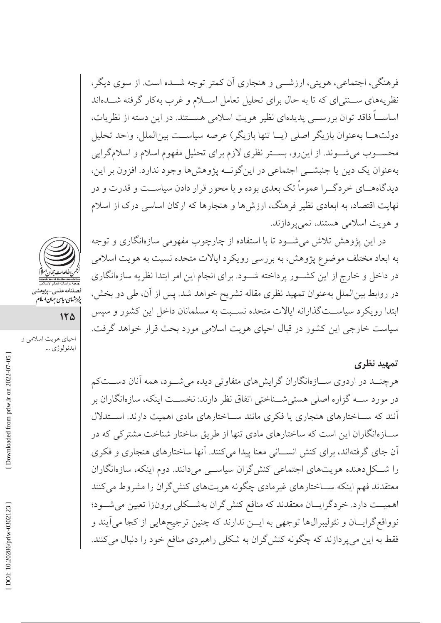فرهنگي، اجتماعي، هويتي، ارزشــي و هنجاري اَن كمتر توجه شـــده است. از سوي ديگر، نظریههای ســنتی ای که تا به حال برای تحلیل تعامل اســلام و غرب بهکار گرفته شــدهاند اساســـاً فاقد توان بررســـي پديدهاي نظير هويت اسلامي هســـتند. در اين دسته از نظريات، دولتهــا بهعنوان بازيگر اصلى (يــا تنها بازيگر) عرصه سياســت بينالملل، واحد تحليل محســوب مىشــوند. از اين٫و، بســتر نظرى لازم براى تحليل مفهوم اسلام و اسلام گرايى بهعنوان يک دين يا جنبشــي اجتماعي در اين گونــه پژوهشها وجود ندارد. افزون بر اين، دیدگاههــای خردگــرا عموماً تک بعدی بوده و با محور قرار دادن سیاســت و قدرت و در نهایت اقتصاد، به ابعادی نظیر فرهنگ، ارزش ها و هنجارها که ارکان اساسی درک از اسلام و هويت اسلامي هستند، نمي يردازند.

در این پژوهش تلاش میشـود تا با استفاده از چارچوب مفهومی سازهانگاری و توجه به ابعاد مختلف موضوع پژوهش، به بررسی رویکرد ایالات متحده نسبت به هویت اسلامی در داخل و خارج از این کشـور پرداخته شـود. برای انجام این امر ابتدا نظریه سازهانگاری در روابط بینالملل بهعنوان تمهید نظری مقاله تشریح خواهد شد. پس از آن، طی دو بخش، ابتدا رویکرد سیاســتگذارانه ایالات متحده نســبت به مسلمانان داخل این کشور و سپس سیاست خارجی این کشور در قبال احیای هویت اسلامی مورد بحث قرار خواهد گرفت.

#### تمهید نظری

هرچنــد در اردوی ســازهانگاران گرایشهای متفاوتی دیده میشــود، همه آنان دســتکم در مورد ســـه گزاره اصلی هستیشـــناختی اتفاق نظر دارند: نخســـت اینکه، سازهانگاران بر آنند که ســاختارهای هنجاری یا فکری مانند ســاختارهای مادی اهمیت دارند. اســتدلال سـازهانگاران این است که ساختارهای مادی تنها از طریق ساختار شناخت مشترکی که در آن جای گرفتهاند، برای کنش انســانی معنا پیدا میکنند. آنها ساختارهای هنجاری و فکری را شکل دهنده هویتهای اجتماعی کنش گران سیاسی میدانند. دوم اینکه، سازهانگاران معتقدند فهم اینکه ســاختارهای غیرمادی چگونه هویتهای کنش گران را مشروط میکنند اهميــت دارد. خر دگرايـــان معتقدند كه منافع كنش گران بهشـــكلى برونزا تعيين مى شـــود؛ نوواقع گرایــان و نئولیبرالها توجهی به ایــن ندارند که چنین ترجیحهایی از کجا می]یند و فقط به این میپردازند که چگونه کنش گران به شکلی راهبردی منافع خود را دنبال میکنند.



ــــــــــــــــ حدمه \_ پةوهسمه<br>پژوهشهای سایسمی جهان اسلام

 $150$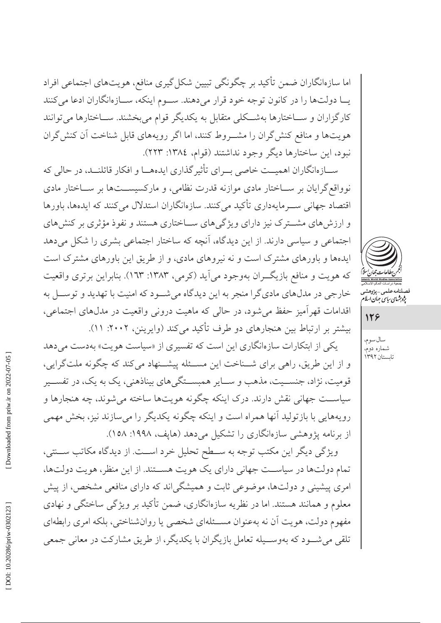اما سازهانگاران ضمن تأکید بر چگونگی تبیین شکل گیری منافع، هویتهای اجتماعی افراد يــا دولتها را در كانون توجه خود قرار مى دهند. ســوم اينكه، ســازوانگاران ادعا مى كنند کارگزاران و ســاختارها بهشــکلی متقابل به یکدیگر قوام میبخشند. ســاختارها می توانند هویتها و منافع کنش گران را مشـروط کنند، اما اگر رویههای قابل شناخت آن کنش گران نبود، این ساختارها دیگر وجود نداشتند (قوام، ١٣٨٤: ٢٢٣).

ســازهانگاران اهميــت خاصي بــراي تأثير گذاري ايدههــا و افكار قائلنــد، در حالي كه نوواقع گرایان بر سـاختار مادی موازنه قدرت نظامی، و مارکسیســتها بر ســاختار مادی اقتصاد جهانی سـرمایهداری تأکید میکنند. سازهانگاران استدلال می کنند که ایدهها، باورها و ارزشهای مشــترک نیز دارای ویژگیهای ســاختاری هستند و نفوذ مؤثری بر کنشهای اجتماعی و سیاسی دارند. از این دیدگاه، آنچه که ساختار اجتماعی بشری را شکل میدهد ایدهها و باورهای مشترک است و نه نیروهای مادی، و از طریق این باورهای مشترک است که هویت و منافع بازیگران بهوجود میآید (کرمی، ۱۳۸۳: ۱۳۳). بنابراین برتری واقعیت خارجی در مدلهای مادیگرا منجر به این دیدگاه میشود که امنیت با تهدید و توسـل به اقدامات قهر آمیز حفظ می شود، در حالی که ماهیت درونی واقعیت در مدلهای اجتماعی، بیشتر بر ارتباط بین هنجارهای دو طرف تأکید میکند (وایرینن، ۲۰۰۲: ۱۱).

یکی از ابتکارات سازهانگاری این است که تفسیری از «سیاست هویت» بهدست می دهد و از این طریق، راهی برای شــناخت این مســئله پیشــنهاد میکند که چگونه ملتگرایی، قومیت، نژاد، جنســیت، مذهب و ســایر همبســتگیهای بیناذهنی، یک به یک، در تفســیر سیاســت جهانی نقش دارند. درک اینکه چگونه هویتها ساخته می شوند، چه هنجارها و رويههايي با بازتوليد آنها همراه است و اينكه چگونه يكديگر را مي سازند نيز، بخش مهمي از برنامه پژوهشی سازهانگاری را تشکیل می دهد (هاپف، ۱۹۹۸: ۱۵۸).

ویژگی دیگر این مکتب توجه به ســطح تحلیل خرد اســت. از دیدگاه مکاتب ســنتی، تمام دولتها در سیاست جهانی دارای یک هویت هستند. از این منظر، هویت دولتها، امری پیشینی و دولتها، موضوعی ثابت و همیشگیاند که دارای منافعی مشخص، از پیش معلوم و همانند هستند. اما در نظریه سازهانگاری، ضمن تأکید بر ویژگی ساختگی و نهادی مفهوم دولت، هويت أن نه بهعنوان مســئلهاي شخصي يا روانشناختي، بلكه امرى رابطهاي تلقی میشود که بهوســیله تعامل بازیگران با یکدیگر، از طریق مشارکت در معانی جمعی



صلنامەعلى<sub>مى—پژ</sub>وھشہ<br>پ*ژوہ<sup>ش</sup>ای ساس جمان اسلا* 

128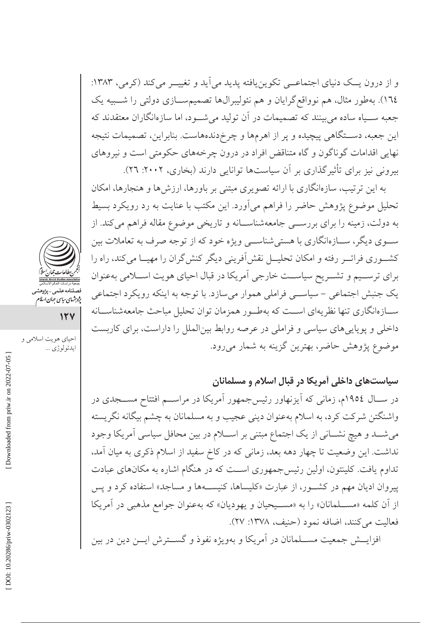و از درون یــک دنیای اجتماعــی تکوین یافته پدید می آید و تغییــر میکند (کرمی، ۱۳۸۳: ١٦٤). بهطور مثال، هم نوواقع گرایان و هم نئولیبرالها تصمیمســازی دولتی را شـــبیه یک جعبه ســیاه ساده میبینند که تصمیمات در آن تولید میشــود، اما سازهانگاران معتقدند که این جعبه، دســتگاهی پیچیده و پر از اهرمها و چرخدندههاست. بنابراین، تصمیمات نتیجه نهایی اقدامات گوناگون و گاه متناقض افراد در درون چرخههای حکومتی است و نیروهای بیرونی نیز برای تأثیرگذاری بر آن سیاستها توانایی دارند (بخاری، ۲۰۰۲: ۲٦).

به این ترتیب، سازهانگاری با ارائه تصویری مبتنی بر باورها، ارزشها و هنجارها، امکان تحلیل موضوع پژوهش حاضر را فراهم میآورد. این مکتب با عنایت به رد رویکرد بسیط به دولت، زمینه را برای بررســی جامعهشناســانه و تاریخی موضوع مقاله فراهم میکند. از سـوي ديگر، ســازهانگاري با هستي شناســي ويژه خود كه از توجه صرف به تعاملات بين کشـوری فراتــر رفته و امکان تحليــل نقش[فريني ديگر کنشگران را مهيــا مىکند، راه را برای ترســيم و تشــريح سياســت خارجي آمريكا در قبال احياي هويت اســـلامي بهعنوان یک جنبش اجتماعی – سیاسے فراملی هموار میسازد. با توجه به اینکه رویکرد اجتماعی ســازهانگاری تنها نظریهای اســت که بهطــور همزمان توان تحلیل مباحث جامعهشناســانه داخلی و پویاییهای سیاسی و فراملی در عرصه روابط بینالملل را داراست، برای کاربست موضوع پژوهش حاضر، بهترین گزینه به شمار میرود.

### سیاستهای داخلی آمریکا در قبال اسلام و مسلمانان

در ســـال ١٩٥٤م، زمانی که اَیزنهاور رئیسجمهور اَمریکا در مراســـم افتتاح مســـجدی در واشنگتن شرکت کرد، به اسلام بهعنوان دینی عجیب و به مسلمانان به چشم بیگانه نگریسته می شـــد و هیچ نشــانی از یک اجتماع مبتنی بر اســـلام در بین محافل سیاسی آمریکا وجود نداشت. این وضعیت تا چهار دهه بعد، زمانی که در کاخ سفید از اسلام ذکری به میان آمد، تداوم یافت. کلینتون، اولین رئیس جمهوری اسـت که در هنگام اشاره به مکانهای عبادت پیروان ادیان مهم در کشور، از عبارت «کلیساها، کنیسهها و مساجد» استفاده کرد و پس از آن كلمه «مســلمانان» را به «مســيحيان و يهوديان» كه بهعنوان جوامع مذهبي در آمريكا فعاليت مي كنند، اضافه نمود (حنيف، ١٣٧٨: ٢٧).

افزایــش جمعیت مســلمانان در آمریکا و بهویژه نفوذ و گســترش ایــن دین در بین



فصلنامه علمی-پژوهش<sub>و</sub><br>پژ*وہ*ش*های بیای جمان اسلا*م

 $154$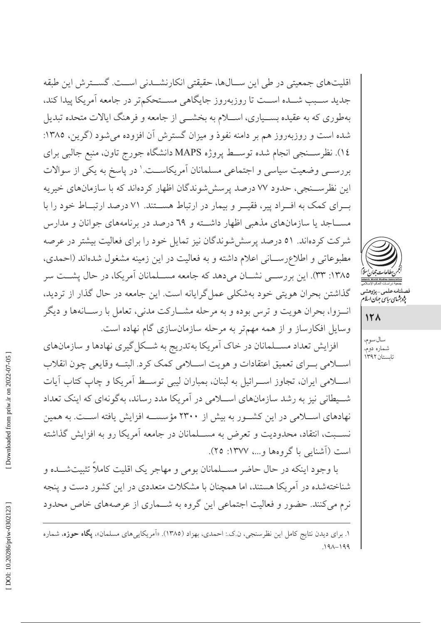اقلیتهای جمعیتی در طی این ســالها، حقیقتی انکارنشــدنی اســت. گســترش این طبقه جدید ســبب شــده اســت تا روزیهروز جایگاهی مســتحکمتر در جامعه آمریکا پیدا کند، بهطوری که به عقیده بســیاری، اســـلام به بخشـــی از جامعه و فرهنگ ایالات متحده تبدیل شده است و روزبهروز هم بر دامنه نفوذ و میزان گسترش آن افزوده می شود (گرین، ۱۳۸۵: ١٤). نظرســنجي انجام شده توســط پروژه MAPS دانشگاه جورج تاون، منبع جالبي براي بررســي وضعيت سياسي و اجتماعي مسلمانان أمريكاســت.' در پاسخ به يكي از سوالات این نظرســنجی، حدود ۷۷ درصد پرسششوندگان اظهار کردهاند که با سازمانهای خیریه ب ای کمک به اف اد پیر، فقیــر و بیمار در ارتباط هســتند. ۷۱ درصد ارتبــاط خود را با مســـاجد یا سازمانهای مذهبی اظهار داشـــته و ٦٩ درصد در برنامههای جوانان و مدارس شرکت کردهاند. ٥١ درصد پرسش شوندگان نیز تمایل خود را برای فعالیت بیشتر در عرصه مطبوعاتی و اطلاعرسانی اعلام داشته و به فعالیت در این زمینه مشغول شدهاند (احمدی، ۱۳۸۵: ۳۳). این بررســی نشــان می۵هد که جامعه مســلمانان آمریکا، در حال پشــت سر گذاشتن بحران هویتی خود بهشکلی عمل گرایانه است. این جامعه در حال گذار از تردید، انسزوا، بحران هويت و ترس بوده و به مرحله مشــاركت مدنى، تعامل با رســانهها و ديگر وسایل افکارساز و از همه مهمتر به مرحله سازمانسازی گام نهاده است.

افزایش تعداد مســلمانان در خاک آمریکا بهتدریج به شــکل گیری نهادها و سازمانهای اسلامي بـراي تعميق اعتقادات و هويت اسـلامي كمك كرد. البتــه وقايعي چون انقلاب اســـلامی ایران، تجاوز اســـرائیل به لبنان، بمباران لیبی توســط آمریکا و چاپ کتاب آیات شیطانی نیز به رشد سازمانهای اسلامی در آمریکا مدد رساند، بهگونهای که اینک تعداد نهادهای اســلامی در این کشــور به بیش از ۲۳۰۰ مؤسســه افزایش یافته اســت. به همین نســبت، انتقاد، محدوديت و تعرض به مســلمانان در جامعه آمريكا رو به افزايش گذاشته است (آشنایی با گروهها و...، ۱۳۷۷: ۲۵).

با وجود اینکه در حال حاضر مســلمانان بومی و مهاجر یک اقلیت کاملاً تثبیتشــده و شناختهشده در آمریکا هستند، اما همچنان با مشکلات متعددی در این کشور دست و پنجه نرم میکنند. حضور و فعالیت اجتماعی این گروه به شــماری از عرصههای خاص محدود سال سوم، شماره دوم، تابستان ۱۳۹۲

Downloaded from priw.ir on 2022-07-05

۱. براي ديدن نتايج كامل اين نظرسنجي، ن.ك.: احمدي، بهزاد (١٣٨٥). «اَمريكاييهاي مسلمان»، **يگاه حوزه**، شماره  $191 - 199$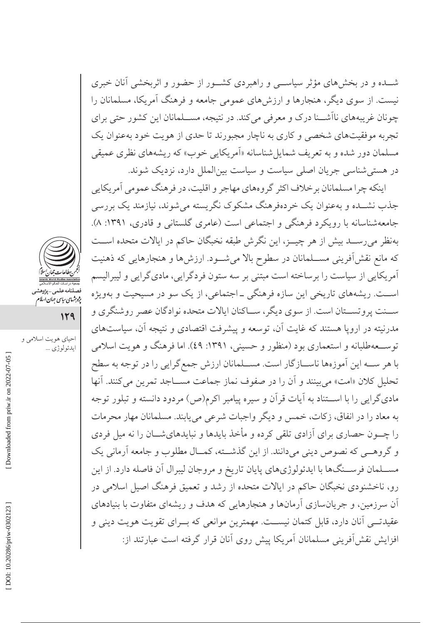شـــده و در بخشهای مؤثر سیاســـی و راهبردی کشـــور از حضور و اثربخشی آنان خبری نیست. از سوی دیگر، هنجارها و ارزشهای عمومی جامعه و فرهنگ آمریکا، مسلمانان را چونان غریبههای نااَشــنا درک و معرفی می کند. در نتیجه، مســلمانان این کشور حتی برای تجربه موفقیتهای شخصی و کاری به ناچار مجبورند تا حدی از هویت خود بهعنوان یک مسلمان دور شده و به تعریف شمایلشناسانه «اَمریکایی خوب» که ریشههای نظری عمیقی در هستی شناسی جریان اصلی سیاست و سیاست بینالملل دارد، نزدیک شوند.

اينكه چرا مسلمانان برخلاف اكثر گروههاي مهاجر و اقليت، در فرهنگ عمومي آمريكايي جذب نشــده و بهعنوان یک خردهفرهنگ مشکوک نگریسته می شوند، نیازمند یک بررسی جامعهشناسانه با رویکرد فرهنگی و اجتماعی است (عامری گلستانی و قادری، ۱۳۹۱: ۸). بهنظر می رســد بیش از هر چیــز، این نگرش طبقه نخبگان حاکم در ایالات متحده اســت که مانع نقشآفرینی مســلمانان در سطوح بالا میشــود. ارزش۵ا و هنجارهایی که ذهنیت اًمریکایی از سیاست را برساخته است مبتنی بر سه ستون فردگرایی، مادیگرایی و لیبرالیسم اســت. ریشههای تاریخی این سازه فرهنگی ـ اجتماعی، از یک سو در مسیحیت و بهویژه ســنت پروتســتان است. از سوی دیگر، ســاکنان ایالات متحده نوادگان عصر روشنگری و مدرنیته در اروپا هستند که غایت آن، توسعه و پیشرفت اقتصادی و نتیجه آن، سیاستهای توســعهطلبانه و استعماري بود (منظور و حسیني، ١٣٩١: ٤٩). اما فرهنگ و هويت اسلامي با هر سـه اين آموزهها ناسـازگار است. مســلمانان ارزش جمع گرايي را در توجه به سطح تحليل كلان «امت» مي بينند و آن را در صفوف نماز جماعت مســـاجد تمرين مي كنند. آنها مادی گرایی را با اســتناد به آیات قرآن و سیره پیامبر اکرم(ص) مردود دانسته و تبلور توجه به معاد را در انفاق، زكات، خمس و ديگر واجبات شرعي مي يابند. مسلمانان مهار محرمات را چـــون حصاری برای آزادی تلقی کرده و مأخذ بایدها و نبایدهایشـــان را نه میل فردی و گروهـبي كه نصوص ديني مي دانند. از اين گذشــته، كمــال مطلوب و جامعه آرماني يک مســلمان فرســنگ۱ها با ايدئولوژيهاي پايان تاريخ و مروجان ليبرال آن فاصله دارد. از اين رو، ناخشنودی نخبگان حاکم در ایالات متحده از رشد و تعمیق فرهنگ اصیل اسلامی در آن سرزمین، و جریانسازی آرمانها و هنجارهایی که هدف و ریشهای متفاوت با بنیادهای عقیدتـــی آنان دارد، قابل کتمان نیســـت. مهمترین موانعی که بـــرای تقویت هویت دینی و افزایش نقش[فرینی مسلمانان آمریکا پیش روی آنان قرار گرفته است عبارتند از:



قصیلند کنسی پرر<br>پژوہشہای سایپ جہان اسلام

129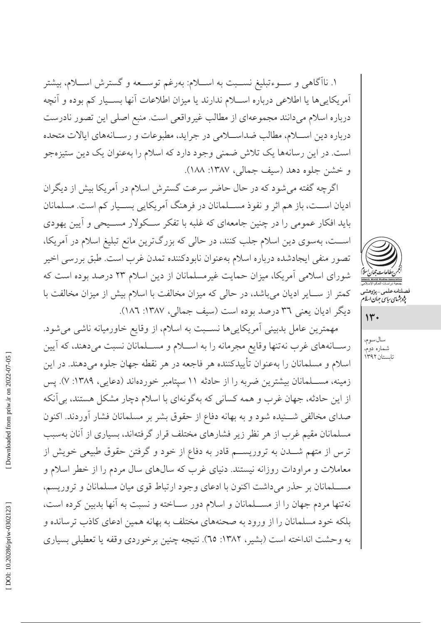۱. ناآگاهی و ســـوءتبلیغ نســـبت به اســـلام: بهرغم توســـعه و گسترش اســـلام، بیشتر أمريكايي ها يا اطلاعي درباره اســـلام ندارند يا ميزان اطلاعات أنها بســيار كم بوده و أنچه درباره اسلام میدانند مجموعهای از مطالب غیرواقعی است. منبع اصلی این تصور نادرست درباره دين اســـلام، مطالب ضداســـلامي در جرايد، مطبوعات و رســـانههاي ايالات متحده است. در این رسانهها یک تلاش ضمنی وجود دارد که اسلام را بهعنوان یک دین ستیزهجو و خشن جلوه دهد (سيف جمالي، ١٣٨٧: ١٨٨).

اگرچه گفته می شود که در حال حاضر سرعت گسترش اسلام در آمریکا بیش از دیگران ادیان اســت، باز هم اثر و نفوذ مســلمانان در فرهنگ آمریکایی بســیار کم است. مسلمانان باید افکار عمومی را در چنین جامعهای که غلبه با تفکر ســکولار مســیحی و آیین یهودی اســت، بهسوى دين اسلام جلب كنند، در حالي كه بزرگترين مانع تبليغ اسلام در آمريكا، تصور منفي ايجادشده درباره اسلام بهعنوان نابودكننده تمدن غرب است. طبق بررسي اخير شورای اسلامی آمریکا، میزان حمایت غیرمسلمانان از دین اسلام ۲۳ درصد بوده است که کمتر از سـایر ادیان میباشد، در حالی که میزان مخالفت با اسلام بیش از میزان مخالفت با ديگر اديان يعني ٣٦ درصد بوده است (سيف جمالي، ١٣٨٧: ١٨٦).

مهمترین عامل بدبینی آمریکاییها نسـبت به اسلام، از وقایع خاورمیانه ناشی می شود. رســانههاي غرب نهتنها وقايع مجرمانه را به اســلام و مســلمانان نسبت ميدهند، كه آيين اسلام و مسلمانان را بهعنوان تأييدكننده هر فاجعه در هر نقطه جهان جلوه مىدهند. در اين زمینه، مســلمانان بیشترین ضربه را از حادثه ١١ سپتامبر خوردهاند (دعایی، ١٣٨٩: ٧). پس از این حادثه، جهان غرب و همه کسانی که بهگونهای با اسلام دچار مشکل هستند، بی آنکه صدای مخالفی شــنیده شود و به بهانه دفاع از حقوق بشر بر مسلمانان فشار آوردند. اکنون مسلمانان مقیم غرب از هر نظر زیر فشارهای مختلف قرار گرفتهاند، بسیاری از آنان بهسبب ترس از متهم شـــدن به تروریســـم قادر به دفاع از خود و گرفتن حقوق طبیعی خویش از معاملات و مراودات روزانه نیستند. دنیای غرب که سالهای سال مردم را از خطر اسلام و مســلمانان بر حذر مىداشت اكنون با ادعاى وجود ارتباط قوى ميان مسلمانان و تروريسم، نهتنها مردم جهان را از مســلمانان و اسلام دور ســاخته و نسبت به آنها بدبین کرده است، بلکه خود مسلمانان را از ورود به صحنههای مختلف به بهانه همین ادعای کاذب ترسانده و به وحشت انداخته است (بشیر، ۱۳۸۲: ٦٥). نتیجه چنین برخوردی وقفه یا تعطیلی بسیاری



صىلنامە على<sub>مى – ي</sub><sub>ژوهشە</sub><br>پ*ژوہ<sup>ش</sup>ای ساس جمان اسلا* 

 $14.$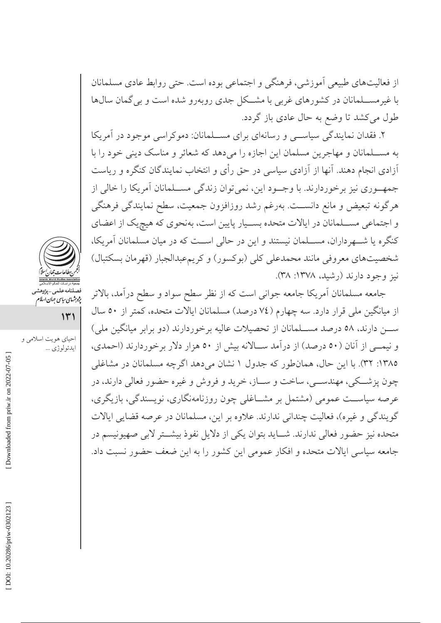از فعالیتهای طبیعی آموزشی، فرهنگی و اجتماعی بوده است. حتی روابط عادی مسلمانان با غیر مســـلمانان در کشورهای غربی با مشـــکل جدی رویهرو شده است و بی گمان سالها طول میکشد تا وضع به حال عادی باز گردد.

۲. فقدان نمایندگی سیاسبی و رسانهای برای مســلمانان: دموکراسی موجود در آمریکا به مســلمانان و مهاجرین مسلمان این اجازه را میدهد که شعائر و مناسک دینی خود را با أزادي انجام دهند. آنها از آزادي سياسي در حق رأي و انتخاب نمايندگان كنگره و رياست جمهــوري نيز برخوردارند. با وجــود اين، نميتوان زندگي مســلمانان آمريكا را خالي از هرگونه تبعیض و مانع دانســت. بهرغم رشد روزافزون جمعیت، سطح نمایندگی فرهنگی و اجتماعی مســلمانان در ایالات متحده بســیار پایین است، بهنحوی که هیچیک از اعضای كنگره يا شـــهرداران، مســـلمان نيستند و اين در حالي اســـت كه در ميان مسلمانان آمريكا، شخصیتهای معروفی مانند محمدعلی کلی (بوکسور) و کریمءبدالجبار (قهرمان بسکتبال) نيز وجود دارند (رشيد، ١٣٧٨: ٣٨).

جامعه مسلمانان آمريكا جامعه جواني است كه از نظر سطح سواد و سطح درآمد، بالاتر از میانگین ملی قرار دارد. سه چهارم (٧٤ درصد) مسلمانان ایالات متحده، کمتر از ٥٠ سال ســـن دارند، ٥٨ درصد مســـلمانان از تحصیلات عالیه برخوردارند (دو برابر میانگین ملی) و نیمبی از آنان (٥٠ درصد) از درآمد سالانه بیش از ٥٠ هزار دلار برخوردارند (احمدی، ١٣٨٥: ٣٢). يا اين حال، همانطور كه جدول ١ نشان مي دهد اگر چه مسلمانان در مشاغلي چون پزشــکي، مهندســي، ساخت و ســاز، خريد و فروش و غيره حضور فعالي دارند، در عرصه سیاســت عمومی (مشتمل بر مشــاغلی چون روزنامهنگاری، نویسندگی، بازیگری، گويندگي و غيره)، فعاليت چنداني ندارند. علاوه بر اين، مسلمانان در عرصه قضايي ايالات متحده نيز حضور فعالي ندارند. شـــايد بتوان يكي از دلايل نفوذ بيشــتر لابي صهيونيسم در جامعه سیاسی ایالات متحده و افکار عمومی این کشور را به این ضعف حضور نسبت داد.



فصلنامەعلى<sub>مى –</sub>پژوهش<sub>و</sub><br>پژ*وہثهای بیای جمان ایلام* 

 $141$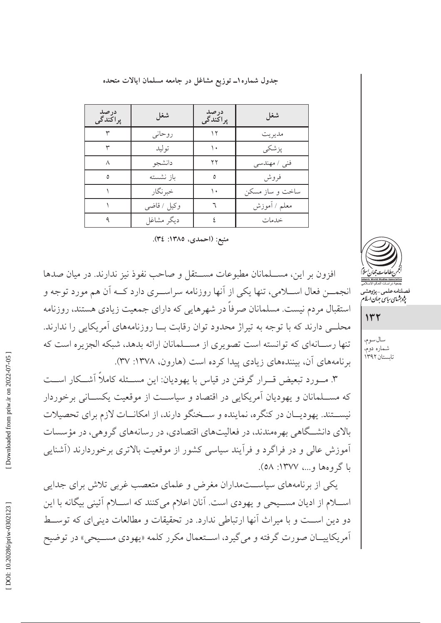جدول شماره ۱ــ توزیع مشاغل در جامعه مسلمان ایالات متحده

| درصد<br>پراکندگی | شغل         | درصد<br>پراکندگی | شغل             |
|------------------|-------------|------------------|-----------------|
|                  | روحاني      | ۱۲               | مديريت          |
|                  | توليد       | ۱.               | يزشكي           |
|                  | دانشجو      | ۲۲               | فني / مهندسي    |
| ٥                | باز نشسته   | ٥                | فروش            |
|                  | خبر نگار    | ۱۰               | ساخت و ساز مسکن |
|                  | وكيل / قاضى |                  | معلم / أموزش    |
|                  | ديگر مشاغل  |                  | خدمات           |

منبع: (احمدي، ١٣٨٥: ٣٤).

افزون بر این، مســلمانان مطبوعات مســتقل و صاحب نفوذ نیز ندارند. در میان صدها انجمـــن فعال اســـلامي، تنها يكي از آنها روزنامه سراســـري دارد كـــه آن هم مورد توجه و استقبال مردم نیست. مسلمانان صرفاً در شهرهایی که دارای جمعیت زیادی هستند، روزنامه محلــی دارند که با توجه به تیراژ محدود توان رقابت بــا روزنامههای آمریکایی را ندارند. تنها رســانهای که توانسته است تصویری از مســلمانان ارائه بدهد، شبکه الجزیره است که برنامههای آن، بینندههای زیادی پیدا کرده است (هارون، ۱۳۷۸: ۳۷).

۳. مــورد تبعیض قــرار گرفتن در قیاس با یهودیان: این مســئله کاملاً آشــکار اســت که مســلمانان و یهودیان آمریکایی در اقتصاد و سیاســت از موقعیت یکســانی برخوردار نيســتند. يهوديــان در كنگره، نماينده و ســخنگو دارند، از امكانــات لازم براي تحصيلات بالای دانشــگاهی بهر ممندند، در فعالیتهای اقتصادی، در رسانههای گروهی، در مؤسسات آموزش عالی و در فراگرد و فرآیند سیاسی کشور از موقعیت بالاتری برخوردارند (آشنای<u>ی</u> با گروهها و...، ۱۳۷۷: ٥٨).

یکی از برنامههای سیاســتمداران مغرض و علمای متعصب غربی تلاش برای جدایی اســـلام از اديان مســـيحي و يهودي است. آنان اعلام ميکنند که اســـلام آئيني بيگانه با اين دو دين اســت و با ميراث اّنها ارتباطي ندارد. در تحقيقات و مطالعات ديني اي كه توســط آمريكاييــان صورت گرفته و مي گيرد، اســتعمال مكرر كلمه «يهودي مســيحي» در توضيح



صلنامه علمی – پژوهش<sub>ح</sub><br>پژو*ب<sup>ر</sup>شای ریاس جمان اسلام* 

 $147$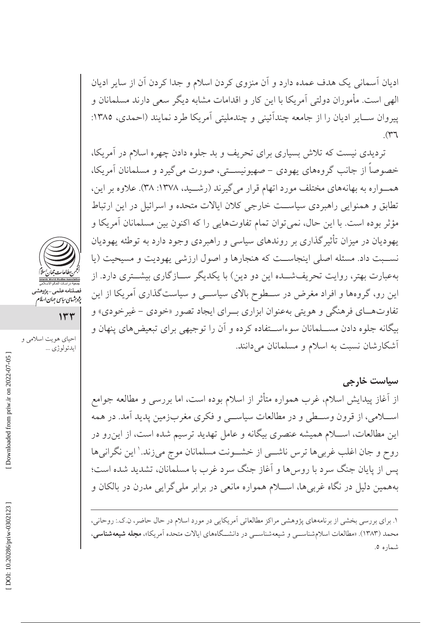ادیان آسمانی یک هدف عمده دارد و آن منزوی کردن اسلام و جدا کردن آن از سایر ادیان الهی است. مأموران دولتی آمریکا با این کار و اقدامات مشابه دیگر سعی دارند مسلمانان و ييروان ســاير اديان را از جامعه چندائيني و چندمليتي آمريكا طرد نمايند (احمدي، ١٣٨٥:  $\mathcal{M}$ 

تردیدی نیست که تلاش بسیاری برای تحریف و بد جلوه دادن چهره اسلام در آمریکا، خصوصاً از جانب گروههای یهودی – صهیونیســتی، صورت میگیرد و مسلمانان آمریکا، همـواره به بهانههای مختلف مورد اتهام قرار میگیرند (رشــید، ۱۳۷۸: ۳۸). علاوه بر این، تطابق و همنوایی راهبردی سیاست خارجی کلان ایالات متحده و اسرائیل در این ارتباط مؤثر بوده است. با این حال، نمی توان تمام تفاوتهایی را که اکنون بین مسلمانان آمریکا و یهودیان در میزان تأثیرگذاری بر روندهای سیاسی و راهبردی وجود دارد به توطئه یهودیان نســبت داد. مسئله اصلي اينجاســت كه هنجارها و اصول ارزشي يهوديت و مسيحيت (يا بهعبارت بهتر، روایت تحریفشــده این دو دین) با یکدیگر ســازگاری بیشــتری دارد. از این رو، گروهها و افراد مغرض در ســطوح بالای سیاســی و سیاستگذاری آمریکا از این تفاوتهـاي فرهنگي و هويتي بهعنوان ابزاري بــراي ايجاد تصور «خودي – غيرخودي» و بیگانه جلوه دادن مســلمانان سوءاســتفاده کرده و آن را توجیهی برای تبعیض های پنهان و آشکارشان نسبت به اسلام و مسلمانان میدانند.

سیاست خارجی از آغاز پیدایش اسلام، غرب همواره متأثر از اسلام بوده است، اما بررسی و مطالعه جوامع اســـلامي، از قرون وســـطي و در مطالعات سياســـي و فكري مغربزمين پديد آمد. در همه این مطالعات، اســـلام همیشه عنصری بیگانه و عامل تهدید ترسیم شده است، از این رو در روح و جان اغلب غربیها ترس ناشــی از خشــونت مسلمانان موج میزند. ٰ این نگرانیها پس از پایان جنگ سرد با روس۵ا و آغاز جنگ سرد غرب با مسلمانان، تشدید شده است؛ بههمین دلیل در نگاه غربیها، اســـلام همواره مانعی در برابر ملیگرایی مدرن در بالکان و

۱. برای بررسی بخشی از برنامههای پژوهشی مراکز مطالعاتی آمریکایی در مورد اسلام در حال حاضر، ن.ک.: روحانی، محمد (۱۳۸۳). «مطالعات اسلامشناســـی و شیعهشناســـی در دانشـــگاههای ایالات متحده آمریکا»، **مجله شیعهشناس**ی، شماره ٥.



فصلنامه علمی-پژوهش<sub>و</sub><br>پژ*وہ*ش*های بیای جمان اسلا*م

 $144$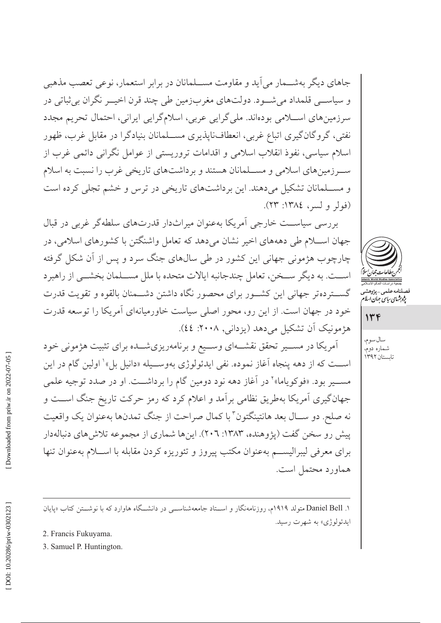جاهاي ديگر بهشــمار مي آيد و مقاومت مســلمانان در برابر استعمار، نوعي تعصب مذهبي و سياســي قلمداد مي شــود. دولتهاي مغربزمين طي چند قرن اخيــر نگران بي ثباتي در سرزمینهای اسلامی بودهاند. ملیگرایی عربی، اسلامگرایی ایرانی، احتمال تحریم مجدد نفتی، گروگانگیری اتباع غربی، انعطافناپذیری مســلمانان بنیادگرا در مقابل غرب، ظهور اسلام سیاسی، نفوذ انقلاب اسلامی و اقدامات تروریستی از عوامل نگرانی دائمی غرب از سـرزمینهای اسلامی و مسـلمانان هستند و برداشتهای تاریخی غرب را نسبت به اسلام و مســلمانان تشکیل میدهند. این برداشتهای تاریخی در ترس و خشم تجلی کرده است (فولر ولسر، ١٣٨٤: ٢٣).

بررسی سیاست خارجی اَمریکا بهعنوان میراثدار قدرتهای سلطهگر غربی در قبال جهان اســـلام طي دهههاي اخير نشان ميدهد كه تعامل واشنگتن با كشورهاي اسلامي، در چارچوب هژمونی جهانی این کشور در طی سالهای جنگ سرد و پس از آن شکل گرفته اســت. به ديگر ســخن، تعامل چندجانبه ايالات متحده با ملل مســلمان بخشــي از راهبرد گســتردهتر جهاني اين كشــور براي محصور نگاه داشتن دشــمنان بالقوه و تقويت قدرت خود در جهان است. از این رو، محور اصلی سیاست خاورمیانهای آمریکا را توسعه قدرت هژمونیک آن تشکیل میدهد (یزدانی, ۲۰۰۸: ٤٤).

أمريكا در مســير تحقق نقشــهاي وســيع و برنامهريزيشــده براي تثبيت هژموني خود است که از دهه پنجاه آغاز نموده. نفي ايدئولوژي بهوسـيله «دانيل بل» اولين گام در اين مســير بود. «فوكوياما»٬ در آغاز دهه نود دومين گام را برداشــت. او در صدد توجيه علمي جهانگیری آمریکا بهطریق نظامی برآمد و اعلام کرد که رمز حرکت تاریخ جنگ اســت و نه صلح. دو ســال بعد هانتينگتون ّ با كمال صراحت از جنگ تمدنها بهعنوان يک واقعيت پیش رو سخن گفت (پژوهنده، ۱۳۸۳: ۲۰۲). اینها شماری از مجموعه تلاش های دنبالهدار براي معرفي ليبراليســم بهعنوان مكتب پيروز و تئوريزه كردن مقابله با اســـلام بهعنوان تنها هماورد محتمل است.



صىلنامە عىلمى – پ<sub>ژ</sub>وهشى<br>پژو*ې<sup>ش</sup>اي ساس جىان اسلام* 

سال سوم، شماره دوم، تابستان ۱۳۹۲

Downloaded from priw.ir on 2022-07-05

۱. Daniel Bell متولد ۱۹۱۹م، روزنامهنگار و اسـتاد جامعهشناســـی در دانشــگاه هاوارد که با نوشــتن کتاب «پایان ايدئولوژي» به شهرت رسيد.

2. Francis Fukuyama.

3. Samuel P. Huntington.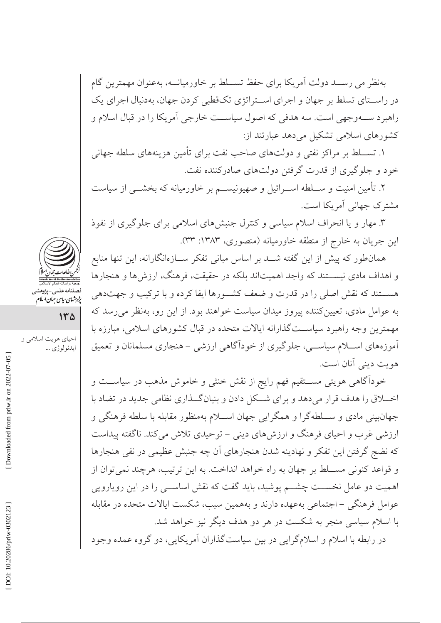بهنظر می رسـد دولت آمریکا برای حفظ تســلط بر خاورمیانــه، بهعنوان مهمترین گام در راســتای تسلط بر جهان و اجرای اســتراتژی تکـقطبی کردن جهان، بهدنبال اجرای یک راهبرد ســهوجهي است. سه هدفي كه اصول سياســت خارجي أمريكا را در قبال اسلام و کشورهای اسلامی تشکیل می دهد عبارتند از:

۱. تســـلط بر مراكز نفتي و دولتهاي صاحب نفت براي تأمين هزينههاي سلطه جهاني خود و جلوگیری از قدرت گرفتن دولتهای صادرکننده نفت.

۲. تأمین امنیت و ســـلطه اســـرائیل و صهیونیســـم بر خاورمیانه که بخشـــی از سیاست مشترک جهانی آمریکا است.

۳. مهار و یا انحراف اسلام سیاسی و کنترل جنبشهای اسلامی برای جلوگیری از نفوذ این جریان به خارج از منطقه خاورمیانه (منصوری، ۱۳۸۳: ۳۳).

همانطور که پیش از این گفته شــد بر اساس مبانی تفکر ســازهانگارانه، این تنها منابع و اهداف مادي نيســـتند كه واجد اهميتاند بلكه در حقيقت، فرهنگ، ارزش ها و هنجارها هســتند كه نقش اصلي را در قدرت و ضعف كشــورها ايفا كرده و با تركيب و جهتدهي به عوامل مادي، تعيين كننده پيروز ميدان سياست خواهند بود. از اين رو، بهنظر مي رسد كه مهمترین وجه راهبرد سیاســتگذارانه ایالات متحده در قبال کشورهای اسلامی، مبارزه با أموزههاي اســـلام سياســـي، جلوگيري از خوداًگاهي ارزشي – هنجاري مسلمانان و تعميق هو پت ديني آنان است.

خودآگاهی هویتی مســتقیم فهم رایج از نقش خنثی و خاموش مذهب در سیاســت و اخــلاق را هدف قرار مىدهد و براى شــكل دادن و بنيانگــذارى نظامى جديد در تضاد با جهانبینی مادی و ســـلطهگرا و همگرایی جهان اســـلام بهمنظور مقابله با سلطه فرهنگی و ارزشی غرب و احیای فرهنگ و ارزشهای دینی – توحیدی تلاش می کند. ناگفته پیداست که نضج گرفتن این تفکر و نهادینه شدن هنجارهای آن چه جنبش عظیمی در نفی هنجارها و قواعد كنوني مســـلط بر جهان به راه خواهد انداخت. به اين ترتيب، هرچند نمي توان از اهمیت دو عامل نخســت چشــم پوشید، باید گفت که نقش اساســی را در این رویارویی عوامل فرهنگی –اجتماعی بهعهده دارند و بههمین سبب، شکست ایالات متحده در مقابله با اسلام سیاسی منجر به شکست در هر دو هدف دیگر نیز خواهد شد.

در رابطه با اسلام و اسلامگرایی در بین سیاستگذاران آمریکایی، دو گروه عمده وجود



فصلنامەعلى<sub>مى—</sub>پژوهش<sub>ى</sub><br>پژ*وہ*ش*اي بياي جمان الىلا*م

 $140$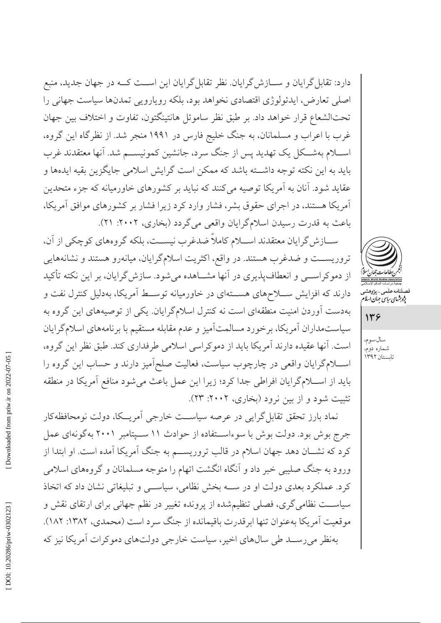دارد: تقابل گرایان و ســـازش گرایان. نظر تقابل گرایان این اســـت کـــه در جهان جدید، منبع اصلي تعارض، ايدئولوژي اقتصادي نخواهد بود، بلكه روپارويي تمدنها سياست جهاني را تحتالشعاع قرار خواهد داد. بر طبق نظر ساموئل هانتينگتون، تفاوت و اختلاف بين جهان غرب با اعراب و مسلمانان، به جنگ خلیج فارس در ۱۹۹۱ منجر شد. از نظرگاه این گروه، اســـلام بهشـــكل يك تهديد پس از جنگ سرد، جانشين كمونيســـم شد. آنها معتقدند غرب بايد به اين نكته توجه داشته باشد كه ممكن است گرايش اسلامي جايگزين بقيه ايدهها و عقاید شود. آنان به آمریکا توصیه میکنند که نباید بر کشورهای خاورمیانه که جزء متحدین آمریکا هستند، در اجرای حقوق بشر، فشار وارد کرد زیرا فشار بر کشورهای موافق آمریکا، باعث به قدرت رسیدن اسلامگرایان واقعی میگردد (بخاری، ۲۰۰۲: ۲۱).

ســازش گرایان معتقدند اســـلام کاملاً ضدغرب نیســت، بلکه گروههای کوچکی از آن، تروریســت و ضدغرب هستند. در واقع، اکثریت اسلامگرایان، میانهرو هستند و نشانههایی از دموکراســی و انعطافپذیری در آنها مشــاهده میشود. سازش گرایان، بر این نکته تأکید دارند که افزایش ســلاحهای هســتهای در خاورمیانه توســط آمریکا، بهدلیل کنترل نفت و بهدست آوردن امنیت منطقهای است نه کنترل اسلامگرایان. یکی از توصیههای این گروه به سیاستمداران آمریکا، برخورد مسالمتآمیز و عدم مقابله مستقیم با برنامههای اسلامگرایان است. آنها عقیده دارند آمریکا باید از دموکراسی اسلامی طرفداری کند. طبق نظر این گروه، اســـلامگرایان واقعی در چارچوب سیاست، فعالیت صلحآمیز دارند و حساب این گروه را باید از اسلامگرایان افراطی جدا کرد؛ زیرا این عمل باعث میشود منافع آمریکا در منطقه تثبیت شود و از بین نرود (بخاری، ۲۰۰۲: ۲۳).

نماد بارز تحقق تقابل گرایی در عرصه سیاست خارجی آمریــکا، دولت نومحافظهکار جرج بوش بود. دولت بوش با سوءاستفاده از حوادث ١١ سـپتامبر ٢٠٠١ بهگونهاي عمل کرد که نشـان دهد جهان اسلام در قالب تروریســم به جنگ آمریکا آمده است. او ابتدا از ورود به جنگ صلیبی خبر داد و آنگاه انگشت اتهام را متوجه مسلمانان و گروههای اسلامی کرد. عملکرد بعدی دولت او در سه بخش نظامی، سیاسی و تبلیغاتی نشان داد که اتخاذ سیاســت نظامی گری، فصلی تنظیمشده از پرونده تغییر در نظم جهانی برای ارتقای نقش و موقعیت آمریکا بهعنوان تنها ابرقدرت باقیمانده از جنگ سرد است (محمدی، ۱۳۸۲: ۱۸۲). بهنظر میرسـد طی سالهای اخیر، سیاست خارجی دولتهای دموکرات آمریکا نیز که



صلنامەعلى<sub>مى—پژ</sub>وھشہ<br>پ*ژوہ<sup>ش</sup>ای ساس جمان اسلا*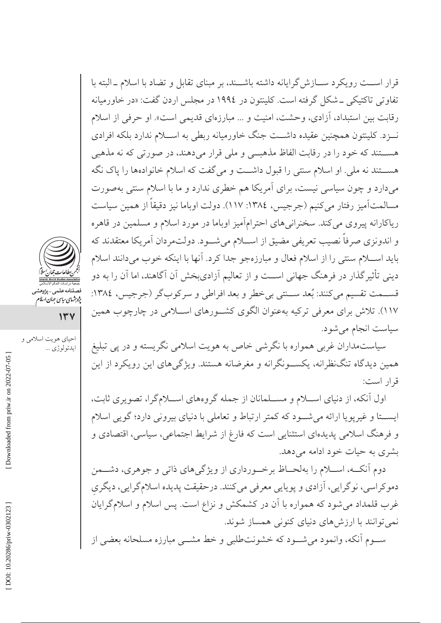قرار اســت رويكرد ســازش گرايانه داشته باشــند، بر مبناي تقابل و تضاد با اسلام ــ البته با تفاوتی تاکتیکی \_شکل گرفته است. کلینتون در ۱۹۹٤ در مجلس اردن گفت: «در خاورمیانه رقابت بين استبداد، آزادي، وحشت، امنيت و ... مبارزماي قديمي است». او حرفي از اسلام نـــزد. کلینتون همچنین عقیده داشـــت جنگ خاورمیانه ربطی به اســـلام ندارد بلکه افرادی هســـتند که خود را در رقابت الفاظ مذهبـــی و ملی قرار میدهند، در صورتی که نه مذهبی هســـتند نه ملي. او اسلام سنتي را قبول داشـــت و ميگفت كه اسلام خانوادهها را پاك نگه میدارد و چون سیاسی نیست، برای آمریکا هم خطری ندارد و ما با اسلام سنتی بهصورت مسالمتآميز رفتار مي كنيم (جرجيس، ١٣٨٤: ١١٧). دولت اوباما نيز دقيقاً از همين سياست ریاکارانه پیروی میکند. سخنرانیهای احترامآمیز اوباما در مورد اسلام و مسلمین در قاهره و اندونزی صرفاً نصیب تعریفی مضیق از اســـلام میشـــود. دولتمردان آمریکا معتقدند که باید اسـلام سنتی را از اسلام فعال و مبارزهجو جدا کرد. آنها با اینکه خوب میدانند اسلام دینی تأثیرگذار در فرهنگ جهانی اســت و از تعالیم آزادیبخش آن آگاهند، اما آن را به دو قســمت تقسيم مي كنند: بُعد ســنتي بي خطر و بعد افراطي و سركوب گر (جرجيس، ١٣٨٤: ۱۱۷). تلاش برای معرفی ترکیه بهعنوان الگوی کشــورهای اســلامی در چارچوب همین سیاست انجام میشود.

سیاستمداران غربی همواره با نگرشی خاص به هویت اسلامی نگریسته و در پی تبلیغ همین دیدگاه تنگنظرانه، یکســونگرانه و مغرضانه هستند. ویژگیهای این رویکرد از این قرار است:

اول آنکه، از دنیای اســلام و مســلمانان از جمله گروههای اســلامگرا، تصویری ثابت، ايســتا و غيريويا ارائه مي شــود كه كمتر ارتباط و تعاملي با دنياي بيروني دارد؛ گويي اسلام و فرهنگ اسلامی پدیدهای استثنایی است که فارغ از شرایط اجتماعی، سیاسی، اقتصادی و بشری به حیات خود ادامه می دهد.

دوم آنکــه، اســـلام را بهلحــاظ برخـــورداري از ويژگيهاي ذاتي و جوهري، دشـــمن دموکراسی، نوگرایی، آزادی و پویایی معرفی میکنند. درحقیقت پدیده اسلامگرایی، دیگری غرب قلمداد می شود که همواره با آن در کشمکش و نزاع است. پس اسلام و اسلامگرایان نمی توانند با ارزش های دنیای کنونی همساز شوند.

ســوم آنکه، وانمود می شــود که خشونتطلبی و خط مشــی مبارزه مسلحانه بعضی از



فصلنامه علمی-پژوهشه<br>پژ*وہ*ش*های بیای جمان اسلام* 

 $14V$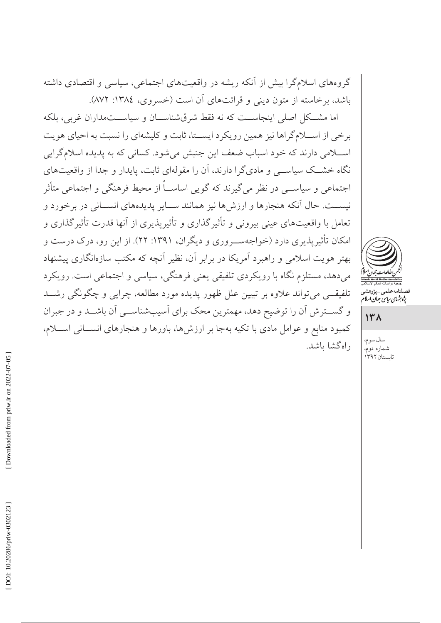گروههای اسلامگرا بیش از آنکه ریشه در واقعیتهای اجتماعی، سیاسی و اقتصادی داشته باشد، برخاسته از متون دینی و قرائتهای آن است (خسروی، ١٣٨٤: ٨٧٢).

اما مشــکل اصلي اينجاســت که نه فقط شرقشناســان و سياســتمداران غربي، بلکه برخی از اسـلامگراها نیز همین رویکرد ایسـتا، ثابت و کلیشهای را نسبت به احیای هویت اسلامی دارند که خود اسباب ضعف این جنبش میشود. کسانی که به پدیده اسلامگرایی نگاه خشــک سیاســی و مادیگرا دارند، آن را مقولهای ثابت، پایدار و جدا از واقعیتهای اجتماعی و سیاســی در نظر می گیرند که گویی اساســاً از محیط فرهنگی و اجتماعی متأثر نيســت. حال آنكه هنجارها و ارزش ها نيز همانند ســاير پديدههاي انســاني در برخورد و تعامل با واقعیتهای عینی بیرونی و تأثیرگذاری و تأثیرپذیری از آنها قدرت تأثیرگذاری و امکان تأثیریذیری دارد (خواجهسوروری و دیگران، ۱۳۹۱: ۲۲). از این رو، درک درست و بهتر هويت اسلامي و راهبرد آمريكا در برابر آن، نظير آنچه كه مكتب سازهانگاري پيشنهاد میدهد، مستلزم نگاه با رویکردی تلفیقی یعنی فرهنگی، سیاسی و اجتماعی است. رویکرد تلفیقــی می تواند علاوه بر تبیین علل ظهور پدیده مورد مطالعه، چرایی و چگونگی رشــد و گسترش آن را توضیح دهد، مهمترین محک برای آسیبشناســی آن باشــد و در جبران كمبود منابع و عوامل مادي با تكيه بهجا بر ارزش ها، باورها و هنجارهاي انســاني اســـلام، راه گشا باشد.



صىلنامە على<sub>مى – ي</sub><sub>ژوهشە</sub><br>پ*ژوہ<sup>ش</sup>ای ساس جمان اسلا* 

 $14<sub>h</sub>$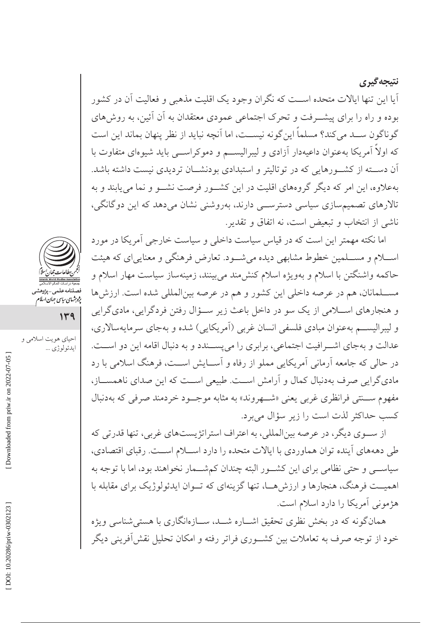نتيجه گيري اّیا این تنها ایالات متحده اســت که نگران وجود یک اقلیت مذهبی و فعالیت اّن در کشور بوده و راه را برای پیشــرفت و تحرک اجتماعی عمودی معتقدان به آن آئین، به روشهای گو ناگو ن ســد می کند؟ مسلماً این گو نه نیســت، اما آنچه نباید از نظر پنهان بماند این است که اولا آمریکا بهعنوان داعیهدار آزادی و لیبرالیســم و دموکراســـی باید شیوهای متفاوت با آن دســـته از كشـــورهايي كه در توتاليتر و استبدادي بودنشـــان ترديدي نيست داشته باشد. بهعلاوه، این امر که دیگر گروههای اقلیت در این کشـور فرصت نشــو و نما می پابند و به تالارهای تصمیمسازی سیاسی دسترســی دارند، بهروشنی نشان میدهد که این دوگانگی، ناشی از انتخاب و تبعیض است، نه اتفاق و تقدیر.

اما نکته مهمتر این است که در قیاس سیاست داخلی و سیاست خارجی آمریکا در مورد اســـلام و مســـلمین خطوط مشابهی دیده میشـــود. تعارض فرهنگی و معناییای که هیئت حاکمه واشنگتن با اسلام و بهویژه اسلام کنش۵ند میبینند، زمینهساز سیاست مهار اسلام و مســـلمانان، هم در عرصه داخلی این کشور و هم در عرصه بینالمللی شده است. ارزش ها و هنجارهاي اســـلامي از يک سو در داخل باعث زير ســـؤال رفتن فردگرايي، ماديگرايي و ليبراليســم بهعنوان مبادي فلسفى انسان غربي (آمريكايي) شده و بهجاي سرمايهسالاري، عدالت و بهجای اشــرافیت اجتماعی، برابری را می پســندد و به دنبال اقامه این دو اســت. در حالي كه جامعه آرماني آمريكايي مملو از رفاه و آســايش اســت، فرهنگ اسلامي با رد مادي گرايي صرف بهدنبال كمال و آرامش اســت. طبيعي اســت كه اين صداي ناهمســاز، مفهوم ســنتي فرانظري غربي يعني «شــهروند» به مثابه موجــود خردمند صرفي كه بهدنبال كسب حداكثر لذت است را زير سؤال مي برد.

از ســوی دیگر، در عرصه بین|لمللی، به اعتراف استراتژیستهای غربی، تنها قدرتی که طی دهههای آینده توان هماوردی با ایالات متحده را دارد اســلام اســت. رقبای اقتصادی، سیاســـی و حتبی نظامی برای این کشـــور البته چندان کمشـــمار نخواهند بود، اما با توجه به اهمیــت فرهنگ، هنجارها و ارزش هــا، تنها گزینهای که تــوان ایدئولوژیک برای مقابله با هژمونی آمریکا را دارد اسلام است.

همانگونه که در بخش نظری تحقیق اشــاره شــد، ســازهانگاری با هستی شناسی ویژه خود از توجه صرف به تعاملات بین کشــوری فراتر رفته و امکان تحلیل نقش آفرینی دیگر



فصلنامه علمی-پژوهش<sub>و</sub><br>پژ*وہ*ش*های بیای جمان اسلا*م

 $149$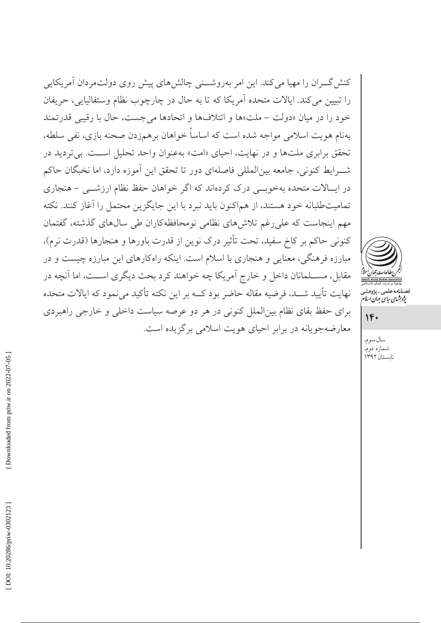کنش گــران را مهیا می کند. این امر بهروشـــنی چالش۵مای پیش روی دولتمردان آمریکایی را تبيين مي كند. ايالات متحده آمريكا كه تا به حال در چارچوب نظام وستفاليايي، حريفان خود را در ميان «دولت – ملت»ها و ائتلافها و اتحادها مي جست، حال با رقيبي قدرتمند بهنام هويت اسلامي مواجه شده است كه اساساً خواهان برهمزدن صحنه بازي، نفي سلطه، تحقق برابری ملتها و در نهایت، احیای «امت» بهعنوان واحد تحلیل اســت. بیتردید در شــرايط كنوني، جامعه بين|لمللي فاصلهاي دور تا تحقق اين آموزه دارد، اما نخبگان حاكم در ایسالات متحده بهخوبی درک کردهاند که اگر خواهان حفظ نظام ارزشمی – هنجاری تمامیتطلبانه خود هستند، از هماکنون باید نبرد با این جایگزین محتمل را آغاز کنند. نکته مهم اینجاست که علی رغم تلاش های نظامی نومحافظهکاران طی سال های گذشته، گفتمان كنوني حاكم بر كاخ سفيد، تحت تأثير درك نوين از قدرت باورها و هنجارها (قدرت نرم)، مبارزه فرهنگی، معنایی و هنجاری با اسلام است. اینکه راهکارهای این مبارزه چیست و در مقابل، مســـلمانان داخل و خارج آمريكا چه خواهند كرد بحث ديگرى اســـت، اما آنچه در نهایت تأیید شــد، فرضیه مقاله حاضر بود کــه بر این نکته تأکید میiمود که ایالات متحده برای حفظ بقای نظام بینالملل کنونی در هر دو عرصه سیاست داخلی و خارجی راهبردی معارضهجویانه در برابر احیای هویت اسلامی برگزیده است.



صلنامەعلى<sub>مى—پژ</sub>وھشہ<br>پ*ژوہ<sup>ش</sup>ای ساس جمان اسلا* 

### $1F+$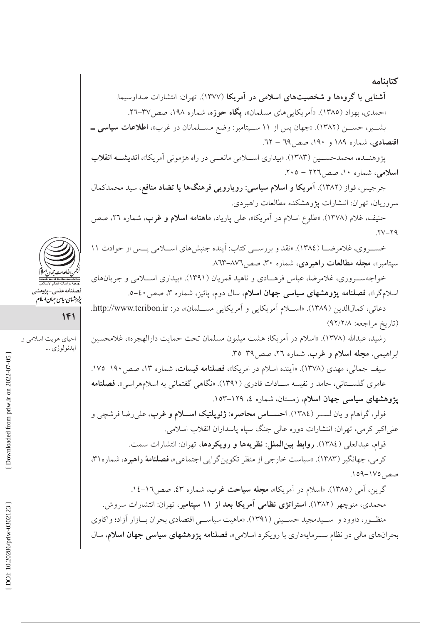آشنایی با گروهها و شخصیتهای اسلامی در آمریکا (۱۳۷۷). تهران: انتشارات صداوسیما. احمدي، بهزاد (١٣٨٥). «اَمريكاييهاي مسلمان»، **يگاه حوزه**، شماره ١٩٨، صص٣٧-٢٦. بشمیر، حسمن (١٣٨٢). «جهان پس از ١١ سميتامبر: وضع مسلمانان در غرب»، اطلاعات سياسي ــ اقتصادی، شماره ۱۸۹ و ۱۹۰، صص ٦٩ – ٦٢.

يژوهنــده، محمدحســين (١٣٨٣). «بيداري اســـلامي مانعــي در راه هژموني آمريكا»، **انديشــه انقلاب** اسلامی، شماره ۱۰، صص ۲۲۲ – ۲۰۵.

جرجیس، فواز (۱۳۸۲). آم**ریکا و اسلام سیاسی: رویارویی فرهنگها یا تضاد منافع**، سید محمدکمال سروريان، تهران: انتشارات پژوهشكده مطالعات راهبردي.

حنيف، غلام (١٣٧٨). «طلوع اسلام در أمريكا»، على پارياد، م**اهنامه اسلام و غرب**، شماره ٢٦، صص  $YV-Y9$ 

خسـروي، غلامرضــا (١٣٨٤). «نقد و بررســي كتاب: أينده جنبشهاي اســلامي پــس از حوادث ١١ سیتامبر»، مجله مطالعات راهبردی، شماره ۳۰، صص۲۷–۸۶۳.

خواجهســروري، غلامرضا، عباس فرهــادي و ناهيد قمريان (١٣٩١). «بيداري اســـلامي و جريانهاي اسلامگرا»، ف**صلنامه پژوهشهای سیاسی جهان اسلام**، سال دوم، پائیز، شماره ۳، صص ٤٠-٥.

دعائي، كمالالدين (١٣٨٩). «اســـلام أمريكايي و أمريكايي مســـلمان»، در: http://www.teribon.ir. (تاريخ مراجعه: ٩٢/٢/٨)

رشيد، عبدالله (١٣٧٨). «اسلام در أمريكا؛ هشت ميليون مسلمان تحت حمايت دارالهجره»، غلامحسين ابراهيمي، مجله اسلام و غرب، شماره ٢٦، صص٣٩-٣.

سیف جمالی، مهدی (۱۳۷۸). «اَینده اسلام در امریکا»، **فصلنامه قبسات**، شماره ۱۳، صص ۱۹۰–۱۷۵. عامری گلســتانی، حامد و نفیسه ســادات قادری (۱۳۹۱). «نگاهی گفتمانی به اسلامهراسی»، **فصلنامه** پژوهشهای سیاسی جهان اسلام، زمستان، شماره ٤، ١٢٩–١٥٢.

فولر، گراهام و یان لســر (١٣٨٤). احســاس محاصره: ژئوپلتیک اســلام و غرب، علىرضا فرشچى و علىاكبر كرمي، تهران: انتشارات دوره عالى جنگ سياه ياسداران انقلاب اسلامي.

قوام، عبدالعلي (١٣٨٤). روابط بين الملل: نظريهها و رويكردها، تهران: انتشارات سمت.

کرمی، جهانگیر (۱۳۸۳). «سیاست خارجی از منظر تکوینگرایی اجتماعی»، **فصلنامهٔ راهبرد**، شماره۳۱، صص ١٧٥-١٧٩.

گرین، اَمی (۱۳۸۵). «اسلام در اَمریکا»، **مجله سیاحت غرب**، شماره ٤٣، صص١٦–١٤. محمدی، منوچهر (۱۳۸۲). **استراتژی نظامی آمریکا بعد از ۱۱ سپتامبر**، تهران: انتشارات سروش. منظـور، داوود و ســیدمجید حســینی (۱۳۹۱). «ماهیت سیاســی اقتصادی بحران بــازار آزاد؛ واكاوی بحرانهای مالی در نظام ســرمایهداری با رویکرد اسلامی»، فصلنامه پژوهشهای سیاسی جهان اسلام، سال



فصلنامەعلى<sub>مى –</sub> پ<sub>ژوهشى</sub><br>پژو*بشاي رياس جمان اسلام* 

 $1F1$